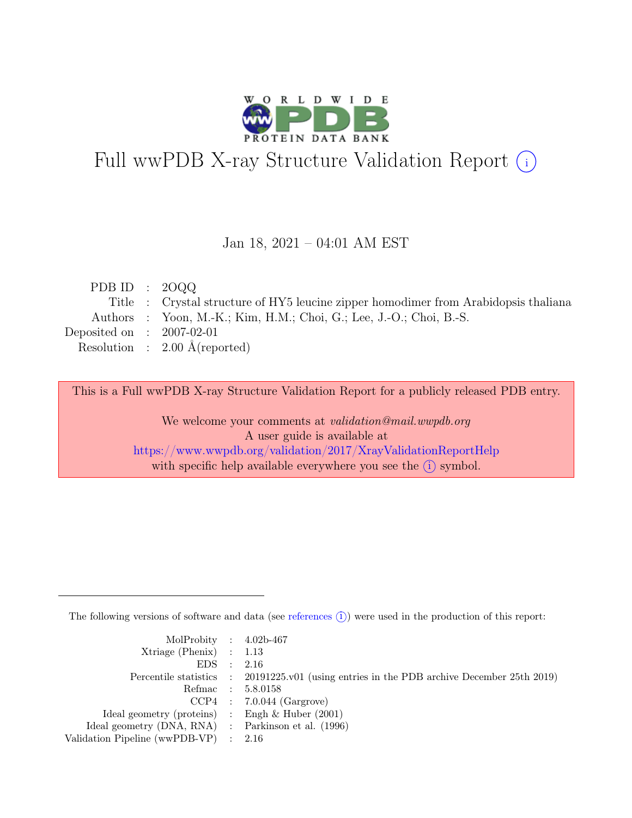

# Full wwPDB X-ray Structure Validation Report  $(i)$

#### Jan 18, 2021 – 04:01 AM EST

| PDB ID : $2000$             |                                                                                     |
|-----------------------------|-------------------------------------------------------------------------------------|
|                             | Title : Crystal structure of HY5 leucine zipper homodimer from Arabidopsis thaliana |
|                             | Authors : Yoon, M.-K.; Kim, H.M.; Choi, G.; Lee, J.-O.; Choi, B.-S.                 |
| Deposited on : $2007-02-01$ |                                                                                     |
|                             | Resolution : $2.00 \text{ Å}$ (reported)                                            |
|                             |                                                                                     |

This is a Full wwPDB X-ray Structure Validation Report for a publicly released PDB entry.

We welcome your comments at validation@mail.wwpdb.org A user guide is available at <https://www.wwpdb.org/validation/2017/XrayValidationReportHelp> with specific help available everywhere you see the  $(i)$  symbol.

The following versions of software and data (see [references](https://www.wwpdb.org/validation/2017/XrayValidationReportHelp#references)  $(i)$ ) were used in the production of this report:

| MolProbity : $4.02b-467$                            |                                                                                            |
|-----------------------------------------------------|--------------------------------------------------------------------------------------------|
| $Xtriangle (Phenix)$ : 1.13                         |                                                                                            |
| EDS : 2.16                                          |                                                                                            |
|                                                     | Percentile statistics : 20191225.v01 (using entries in the PDB archive December 25th 2019) |
|                                                     | Refmac : 5.8.0158                                                                          |
|                                                     | $CCP4$ : 7.0.044 (Gargrove)                                                                |
| Ideal geometry (proteins) : Engh $\&$ Huber (2001)  |                                                                                            |
| Ideal geometry (DNA, RNA) : Parkinson et al. (1996) |                                                                                            |
| Validation Pipeline (wwPDB-VP) : 2.16               |                                                                                            |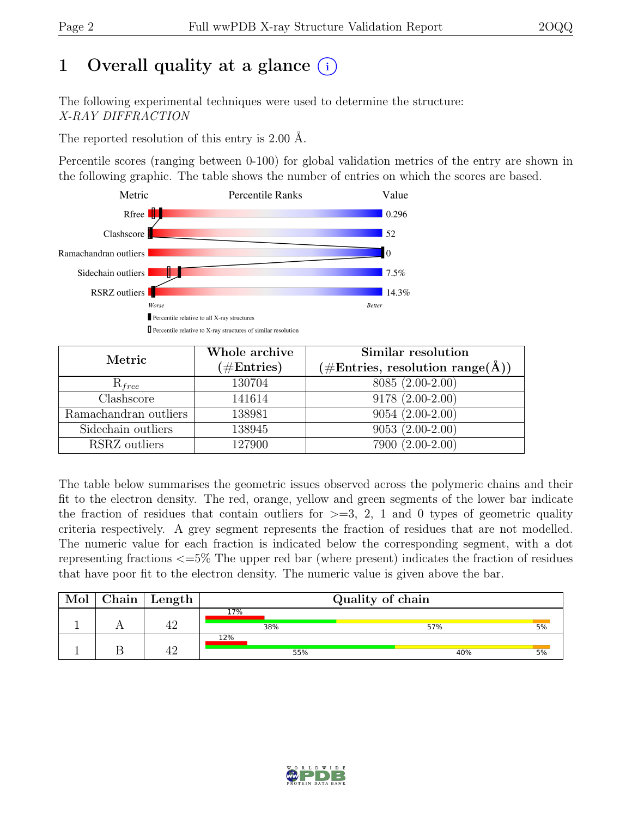## 1 Overall quality at a glance  $(i)$

The following experimental techniques were used to determine the structure: X-RAY DIFFRACTION

The reported resolution of this entry is 2.00 Å.

Percentile scores (ranging between 0-100) for global validation metrics of the entry are shown in the following graphic. The table shows the number of entries on which the scores are based.



| Metric                | Whole archive<br>$(\#\text{Entries})$ | Similar resolution<br>$(\# \text{Entries}, \text{ resolution } \text{range}(\AA))$ |
|-----------------------|---------------------------------------|------------------------------------------------------------------------------------|
| $R_{free}$            | 130704                                | 8085 (2.00-2.00)                                                                   |
| Clashscore            | 141614                                | $9178(2.00-2.00)$                                                                  |
| Ramachandran outliers | 138981                                | $9054(2.00-2.00)$                                                                  |
| Sidechain outliers    | 138945                                | $9053(2.00-2.00)$                                                                  |
| RSRZ outliers         | 127900                                | 7900 (2.00-2.00)                                                                   |

The table below summarises the geometric issues observed across the polymeric chains and their fit to the electron density. The red, orange, yellow and green segments of the lower bar indicate the fraction of residues that contain outliers for  $\geq$ =3, 2, 1 and 0 types of geometric quality criteria respectively. A grey segment represents the fraction of residues that are not modelled. The numeric value for each fraction is indicated below the corresponding segment, with a dot representing fractions <=5% The upper red bar (where present) indicates the fraction of residues that have poor fit to the electron density. The numeric value is given above the bar.

| Mol | Chain | $^+$ Length     | Quality of chain |     |    |
|-----|-------|-----------------|------------------|-----|----|
|     |       | $A^\smallfrown$ | 17%              |     |    |
|     |       |                 | 38%              | 57% | 5% |
|     |       | 10              | 12%              |     |    |
|     |       |                 | 55%              | 40% | 5% |

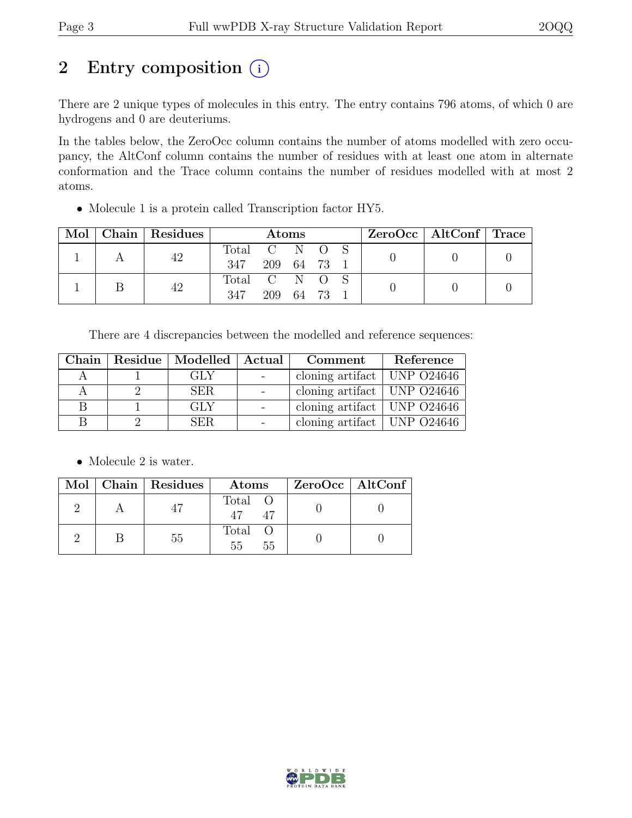## 2 Entry composition  $(i)$

There are 2 unique types of molecules in this entry. The entry contains 796 atoms, of which 0 are hydrogens and 0 are deuteriums.

In the tables below, the ZeroOcc column contains the number of atoms modelled with zero occupancy, the AltConf column contains the number of residues with at least one atom in alternate conformation and the Trace column contains the number of residues modelled with at most 2 atoms.

• Molecule 1 is a protein called Transcription factor HY5.

| Mol |  | Chain   Residues | <b>Atoms</b>  |           |  | $ZeroOcc \mid AltConf \mid Trace$ |  |  |
|-----|--|------------------|---------------|-----------|--|-----------------------------------|--|--|
|     |  | 42               | Total C N O S |           |  |                                   |  |  |
|     |  | 347              | 209 64 73     |           |  |                                   |  |  |
|     |  | 42               | Total C N O S |           |  |                                   |  |  |
|     |  |                  | 347           | 209 64 73 |  |                                   |  |  |

There are 4 discrepancies between the modelled and reference sequences:

|   | Chain   Residue   Modelled   Actual | Comment                                    | Reference |
|---|-------------------------------------|--------------------------------------------|-----------|
|   | GLY                                 | cloning artifact   UNP $O24646$            |           |
| А | <b>SER</b>                          | cloning artifact   UNP $O$ 24646           |           |
|   | <b>GLY</b>                          | cloning artifact   UNP $\overline{O24646}$ |           |
|   | SER.                                | cloning artifact   UNP $O24646$            |           |

• Molecule 2 is water.

|  | Mol   Chain   Residues | Atoms               | ZeroOcc   AltConf |
|--|------------------------|---------------------|-------------------|
|  |                        | Total O             |                   |
|  | 55                     | Total O<br>55<br>55 |                   |

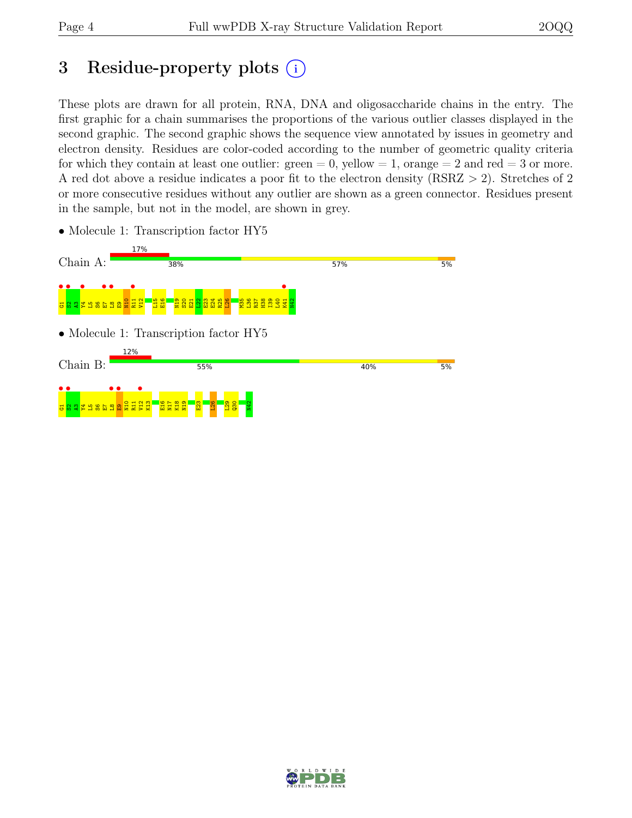## 3 Residue-property plots  $(i)$

These plots are drawn for all protein, RNA, DNA and oligosaccharide chains in the entry. The first graphic for a chain summarises the proportions of the various outlier classes displayed in the second graphic. The second graphic shows the sequence view annotated by issues in geometry and electron density. Residues are color-coded according to the number of geometric quality criteria for which they contain at least one outlier:  $green = 0$ , yellow  $= 1$ , orange  $= 2$  and red  $= 3$  or more. A red dot above a residue indicates a poor fit to the electron density (RSRZ > 2). Stretches of 2 or more consecutive residues without any outlier are shown as a green connector. Residues present in the sample, but not in the model, are shown in grey.



• Molecule 1: Transcription factor HY5

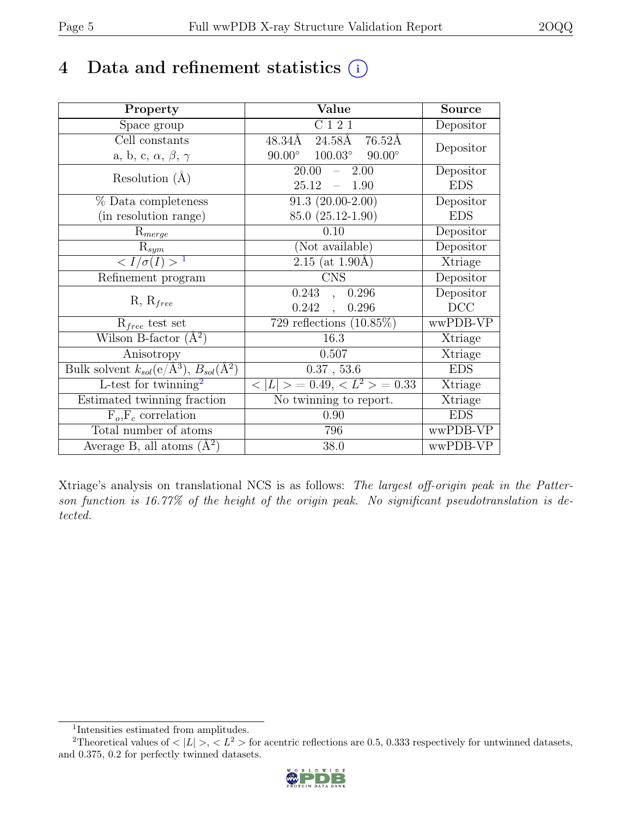## 4 Data and refinement statistics  $(i)$

| Property                                                             | Value                                             | <b>Source</b> |
|----------------------------------------------------------------------|---------------------------------------------------|---------------|
| Space group                                                          | $\overline{C}$ 1 2 1                              | Depositor     |
| Cell constants                                                       | $48.34\AA$ $24.58\AA$<br>$76.52\text{\AA}$        | Depositor     |
| a, b, c, $\alpha$ , $\beta$ , $\gamma$                               | $90.00^\circ$<br>$90.00^{\circ}$ $100.03^{\circ}$ |               |
| Resolution $(A)$                                                     | 20.00<br>2.00<br>$\equiv$                         | Depositor     |
|                                                                      | 25.12<br>1.90<br>$\equiv$                         | <b>EDS</b>    |
| % Data completeness                                                  | $91.3(20.00-2.00)$                                | Depositor     |
| (in resolution range)                                                | 85.0 (25.12-1.90)                                 | <b>EDS</b>    |
| $R_{merge}$                                                          | 0.10                                              | Depositor     |
| $\mathrm{R}_{sym}$                                                   | (Not available)                                   | Depositor     |
| $\langle I/\sigma(I) \rangle$ <sup>1</sup>                           | $2.15$ (at 1.90Å)                                 | Xtriage       |
| Refinement program                                                   | <b>CNS</b>                                        | Depositor     |
| $R, R_{free}$                                                        | 0.243<br>0.296<br>$\ddot{\phantom{a}}$            | Depositor     |
|                                                                      | 0.242<br>0.296<br>$\overline{\phantom{a}}$        | DCC           |
| $R_{free}$ test set                                                  | 729 reflections $(10.85\%)$                       | wwPDB-VP      |
| Wilson B-factor $(A^2)$                                              | 16.3                                              | Xtriage       |
| Anisotropy                                                           | 0.507                                             | Xtriage       |
| Bulk solvent $k_{sol}(e/\mathring{A}^3)$ , $B_{sol}(\mathring{A}^2)$ | 0.37, 53.6                                        | <b>EDS</b>    |
| L-test for $\mathrm{twinning}^2$                                     | $< L >$ = 0.49, $< L^2 >$ = 0.33                  | Xtriage       |
| Estimated twinning fraction                                          | No twinning to report.                            | Xtriage       |
| $\overline{F_o,F_c}$ correlation                                     | 0.90                                              | <b>EDS</b>    |
| Total number of atoms                                                | 796                                               | wwPDB-VP      |
| Average B, all atoms $(A^2)$                                         | 38.0                                              | wwPDB-VP      |

Xtriage's analysis on translational NCS is as follows: The largest off-origin peak in the Patterson function is 16.77% of the height of the origin peak. No significant pseudotranslation is detected.

<sup>&</sup>lt;sup>2</sup>Theoretical values of  $\langle |L| \rangle$ ,  $\langle L^2 \rangle$  for acentric reflections are 0.5, 0.333 respectively for untwinned datasets, and 0.375, 0.2 for perfectly twinned datasets.



<span id="page-4-1"></span><span id="page-4-0"></span><sup>1</sup> Intensities estimated from amplitudes.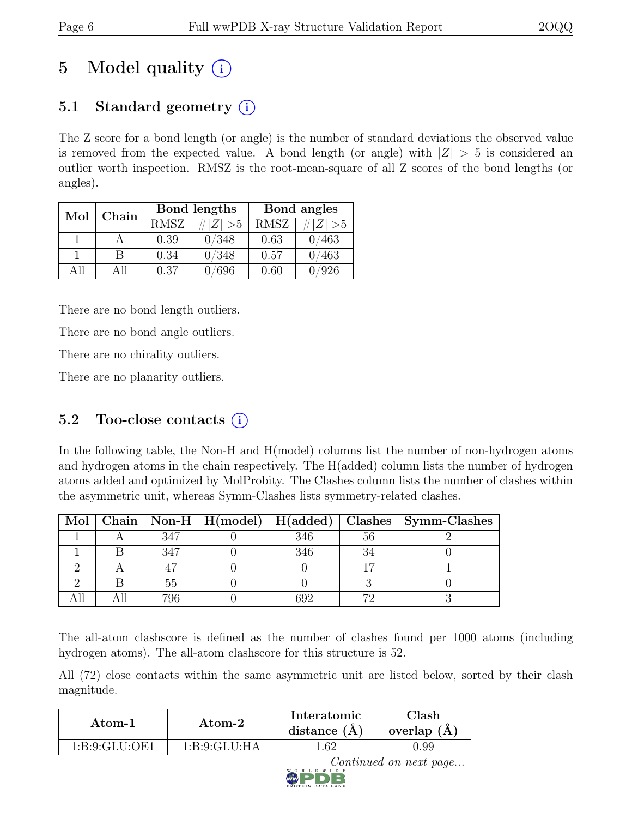## 5 Model quality  $(i)$

## 5.1 Standard geometry  $(i)$

The Z score for a bond length (or angle) is the number of standard deviations the observed value is removed from the expected value. A bond length (or angle) with  $|Z| > 5$  is considered an outlier worth inspection. RMSZ is the root-mean-square of all Z scores of the bond lengths (or angles).

| $\operatorname{Mol}$ | Chain |             | Bond lengths | Bond angles |             |
|----------------------|-------|-------------|--------------|-------------|-------------|
|                      |       | <b>RMSZ</b> | $\# Z  > 5$  | <b>RMSZ</b> | $\# Z  > 5$ |
|                      |       | 0.39        | 0/348        | 0.63        | 0/463       |
|                      | R     | 0.34        | 0/348        | 0.57        | 0/463       |
| All                  | All   | 0.37        | /696         | 0.60        | /926        |

There are no bond length outliers.

There are no bond angle outliers.

There are no chirality outliers.

There are no planarity outliers.

### 5.2 Too-close contacts  $(i)$

In the following table, the Non-H and H(model) columns list the number of non-hydrogen atoms and hydrogen atoms in the chain respectively. The H(added) column lists the number of hydrogen atoms added and optimized by MolProbity. The Clashes column lists the number of clashes within the asymmetric unit, whereas Symm-Clashes lists symmetry-related clashes.

|  |     |     |    | Mol   Chain   Non-H   H(model)   H(added)   Clashes   Symm-Clashes |
|--|-----|-----|----|--------------------------------------------------------------------|
|  | 347 | 346 | 56 |                                                                    |
|  | 347 | 346 |    |                                                                    |
|  |     |     |    |                                                                    |
|  |     |     |    |                                                                    |
|  | 796 |     |    |                                                                    |

The all-atom clashscore is defined as the number of clashes found per 1000 atoms (including hydrogen atoms). The all-atom clashscore for this structure is 52.

All (72) close contacts within the same asymmetric unit are listed below, sorted by their clash magnitude.

| Atom-1        | Atom-2          | Interatomic<br>distance $(A)$ | $\mathrm{Class} \mathbf{h}$<br>overlap $(A)$ |
|---------------|-----------------|-------------------------------|----------------------------------------------|
| 1:B:9:GLU:OE1 | 1: B:9: GLU: HA | .62                           | J.99                                         |

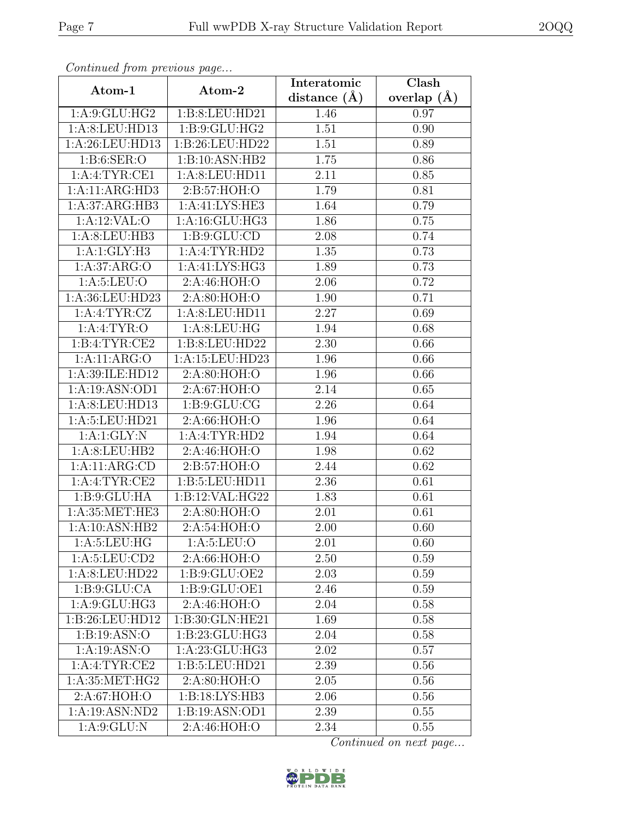| Continuea from previous page |                               | Interatomic      | Clash         |
|------------------------------|-------------------------------|------------------|---------------|
| Atom-1                       | Atom-2                        | distance $(\AA)$ | overlap $(A)$ |
| 1: A:9: GLU: HG2             | 1:B:8:LEU:HD21                | 1.46             | 0.97          |
| 1:A:8:LEU:HD13               | 1: B: 9: GLU: HG2             | 1.51             | 0.90          |
| 1:A:26:LEU:HD13              | 1:B:26:LEU:HD22               | 1.51             | 0.89          |
| 1: B:6: SER:O                | 1:B:10:ASN:HB2                | 1.75             | 0.86          |
| 1: A:4: TYR: CE1             | 1:A:8:LEU:HD11                | 2.11             | 0.85          |
| 1:A:11:ARG:HD3               | 2:B:57:HOH:O                  | 1.79             | 0.81          |
| 1:A:37:ARG:HB3               | 1:A:41:LYS:HE3                | 1.64             | 0.79          |
| 1:A:12:VAL:O                 | 1:A:16:GLU:HG3                | 1.86             | 0.75          |
| 1: A:8: LEU: HB3             | 1: B: 9: GLU: CD              | 2.08             | 0.74          |
| 1:A:1:GLY:H3                 | 1:A:4:TYR:HD2                 | 1.35             | 0.73          |
| 1: A:37: ARG:O               | 1:A:41:LYS:HG3                | 1.89             | 0.73          |
| 1: A:5: LEU:O                | 2:A:46:HOH:O                  | 2.06             | 0.72          |
| 1:A:36:LEU:HD23              | 2:A:80:HOH:O                  | 1.90             | 0.71          |
| 1: A: 4: TYR: CZ             | 1:A:8:LEU:HD11                | 2.27             | 0.69          |
| 1: A:4:TYR:O                 | 1: A:8: LEU: HG               | 1.94             | 0.68          |
| 1:B:4:TYR:CE2                | 1:B:8:LEU:HD22                | 2.30             | 0.66          |
| 1:A:11:ARG:O                 | 1: A:15: LEU:HD23             | 1.96             | 0.66          |
| 1: A:39: ILE: HD12           | 2:A:80:HOH:O                  | 1.96             | 0.66          |
| 1:A:19:ASN:OD1               | 2: A:67: HOH:O                | 2.14             | 0.65          |
| 1:A:8:LEU:HD13               | $1: B: 9: GLU: \overline{CG}$ | 2.26             | 0.64          |
| 1:A:5:LEU:HD21               | 2:A:66:HOH:O                  | 1.96             | 0.64          |
| 1:A:1:GLY:N                  | 1:A:4:TYR:HD2                 | 1.94             | 0.64          |
| 1: A:8: LEU: HB2             | 2:A:46:HOH:O                  | 1.98             | 0.62          |
| 1:A:11:ARG:CD                | 2:B:57:HOH:O                  | 2.44             | 0.62          |
| 1:A:4:TYR:CE2                | 1:B:5:LEU:HD11                | 2.36             | 0.61          |
| 1: B: 9: GLU: HA             | 1:B:12:VAL:HG22               | 1.83             | 0.61          |
| 1:A:35:MET:HE3               | 2:A:80:HOH:O                  | 2.01             | 0.61          |
| 1:A:10:ASN:HB2               | 2:A:54:HOH:O                  | 2.00             | 0.60          |
| 1: A: 5: LEU: HG             | 1: A:5: LEU:O                 | 2.01             | 0.60          |
| 1: A: 5: LEU: CD2            | 2:A:66:HOH:O                  | 2.50             | 0.59          |
| 1:A:8:LEU:HD22               | 1: B: 9: GLU: OE2             | 2.03             | 0.59          |
| 1: B: 9: GLU: CA             | 1:B:9:GLU:OE1                 | 2.46             | 0.59          |
| 1: A:9: GLU: HG3             | 2:A:46:HOH:O                  | 2.04             | 0.58          |
| 1:B:26:LEU:HD12              | 1:B:30:GLN:HE21               | 1.69             | 0.58          |
| 1:B:19:ASN:O                 | 1:B:23:GLU:HG3                | 2.04             | 0.58          |
| 1:A:19:ASN:O                 | 1: A:23: GLU:HG3              | 2.02             | 0.57          |
| 1:A:4:TYR:CE2                | 1:B:5:LEU:HD21                | 2.39             | 0.56          |
| 1:A:35:MET:HG2               | 2:A:80:HOH:O                  | 2.05             | 0.56          |
| 2: A:67: HOH:O               | 1:B:18:LYS:HB3                | 2.06             | 0.56          |
| 1:A:19:ASN:ND2               | 1:B:19:ASN:OD1                | 2.39             | 0.55          |
| 1: A:9: GLU: N               | 2:A:46:HOH:O                  | 2.34             | 0.55          |

Continued from previous page.

Continued on next page...

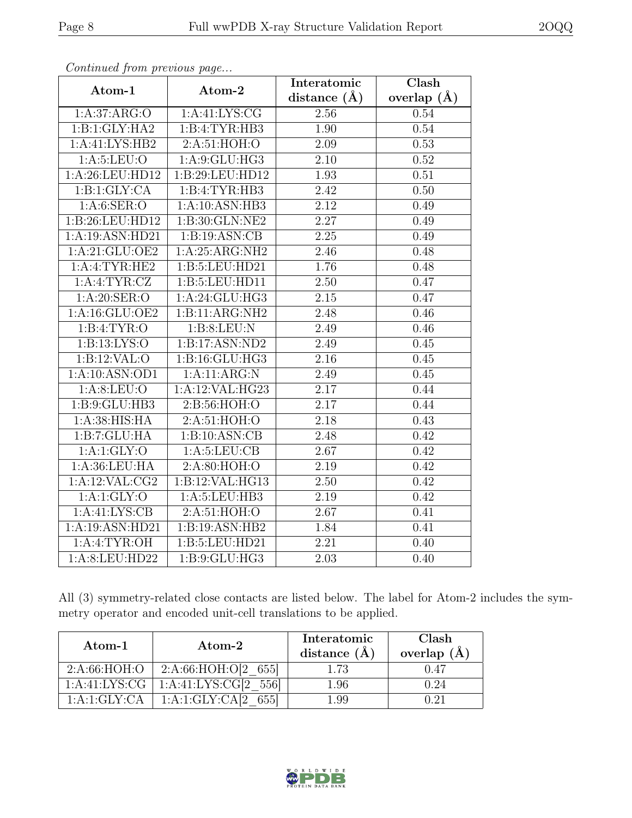| $\cdots$ $\cdots$ $\cdots$ $\cdots$ $\cdots$ $\cdots$ $\cdots$ |                    | Interatomic       | Clash         |
|----------------------------------------------------------------|--------------------|-------------------|---------------|
| Atom-1                                                         | Atom-2             | distance $(A)$    | overlap $(A)$ |
| 1: A:37: ARG:O                                                 | 1: A: 41: LYS: CG  | 2.56              | 0.54          |
| 1:B:1:GLY:HA2                                                  | 1:B:4:TYR:HB3      | $\overline{1.90}$ | 0.54          |
| 1:A:41:LYS:HB2                                                 | 2:A:51:HOH:O       | 2.09              | 0.53          |
| 1: A:5: LEU:O                                                  | 1: A:9: GLU: HG3   | 2.10              | 0.52          |
| 1:A:26:LEU:HD12                                                | 1:B:29:LEU:HD12    | 1.93              | 0.51          |
| 1:B:1:GLY:CA                                                   | 1:B:4:TYR:HB3      | 2.42              | 0.50          |
| 1: A:6: SER:O                                                  | 1:A:10:ASN:HB3     | 2.12              | 0.49          |
| 1:B:26:LEU:HD12                                                | 1:B:30:GLN:NE2     | 2.27              | 0.49          |
| 1:A:19:ASN:HD21                                                | 1:B:19:ASN:CB      | $\overline{2.25}$ | 0.49          |
| 1:A:21:GLU:OE2                                                 | 1:A:25:ARG:NH2     | 2.46              | 0.48          |
| 1:A:4:TYR:HE2                                                  | 1:B:5:LEU:HD21     | 1.76              | 0.48          |
| 1: A: 4: TYR: CZ                                               | 1:B:5:LEU:HD11     | 2.50              | 0.47          |
| 1: A:20: SER:O                                                 | 1:A:24:GLU:HG3     | $2.15\,$          | 0.47          |
| 1:A:16:GLU:OE2                                                 | 1:B:11:ARG:NH2     | 2.48              | 0.46          |
| 1:B:4:TYR:O                                                    | 1:B:8:LEU:N        | 2.49              | 0.46          |
| 1: B: 13: LYS: O                                               | 1:B:17:ASN:ND2     | 2.49              | 0.45          |
| 1:B:12:VAL:O                                                   | 1: B: 16: GLU: HG3 | 2.16              | 0.45          |
| 1:A:10:ASN:OD1                                                 | 1:A:11:ARG:N       | 2.49              | 0.45          |
| 1: A:8: LEU:O                                                  | 1:A:12:VAL:HG23    | 2.17              | 0.44          |
| 1: B: 9: GLU: HB3                                              | 2: B:56: HOH:O     | 2.17              | 0.44          |
| 1: A:38: HIS: HA                                               | 2: A:51: HOH:O     | 2.18              | 0.43          |
| 1:B:7:GLU:HA                                                   | 1:B:10:ASN:CB      | 2.48              | 0.42          |
| 1: A:1: GLY:O                                                  | 1: A:5: LEU: CB    | 2.67              | 0.42          |
| 1: A:36: LEU: HA                                               | 2:A:80:HOH:O       | 2.19              | 0.42          |
| 1:A:12:VAL:CG2                                                 | 1:B:12:VAL:HG13    | 2.50              | 0.42          |
| 1: A:1: GLY:O                                                  | 1: A:5: LEU: HB3   | 2.19              | 0.42          |
| 1:A:41:LYS:CB                                                  | 2: A:51: HOH:O     | 2.67              | 0.41          |
| 1:A:19:ASN:HD21                                                | 1:B:19:ASN:HB2     | 1.84              | 0.41          |
| 1: A:4: TYR:OH                                                 | 1:B:5:LEU:HD21     | 2.21              | 0.40          |
| 1:A:8:LEU:HD22                                                 | 1: B: 9: GLU: HG3  | 2.03              | 0.40          |

Continued from previous page...

All (3) symmetry-related close contacts are listed below. The label for Atom-2 includes the symmetry operator and encoded unit-cell translations to be applied.

| Atom-1            | $\rm{Atom}\text{-}2$     | Interatomic<br>distance $(\AA)$ | Clash<br>overlap $(\AA)$ |
|-------------------|--------------------------|---------------------------------|--------------------------|
| 2: A:66: HOH:O    | 2:A:66:HOH:O[2 655]      | 1.73                            | (1.47)                   |
| 1: A: 41: LYS: CG | 1:A:41:LYS:CG[2 556]     | 1.96                            | 0.24                     |
| 1:A:1:GLY:CA      | 1:A:1:GLY:CA[2]<br>-6551 | L 99                            |                          |

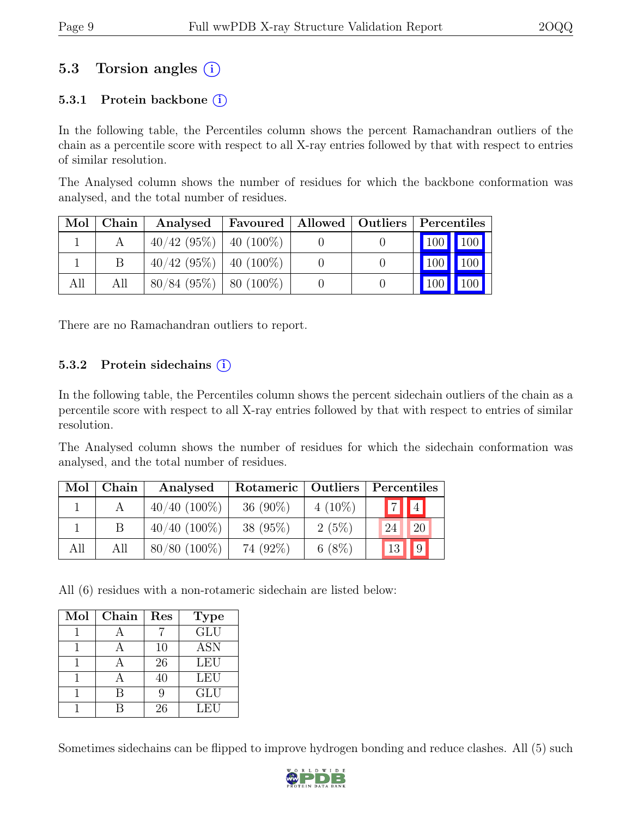### 5.3 Torsion angles (i)

#### 5.3.1 Protein backbone  $(i)$

In the following table, the Percentiles column shows the percent Ramachandran outliers of the chain as a percentile score with respect to all X-ray entries followed by that with respect to entries of similar resolution.

The Analysed column shows the number of residues for which the backbone conformation was analysed, and the total number of residues.

| Mol | Chain | Analysed                    | Favoured   Allowed   Outliers   Percentiles |  |         |     |
|-----|-------|-----------------------------|---------------------------------------------|--|---------|-----|
|     |       | $40/42$ (95\%)   40 (100\%) |                                             |  | 100 100 |     |
|     | В     | $40/42$ (95%)   40 (100%)   |                                             |  | 100 100 |     |
| All | All   | $80/84$ (95%)   80 (100%)   |                                             |  | 100     | 100 |

There are no Ramachandran outliers to report.

#### 5.3.2 Protein sidechains  $(i)$

In the following table, the Percentiles column shows the percent sidechain outliers of the chain as a percentile score with respect to all X-ray entries followed by that with respect to entries of similar resolution.

The Analysed column shows the number of residues for which the sidechain conformation was analysed, and the total number of residues.

| Mol | Chain | Analysed       | Rotameric  | Outliers  | Percentiles                      |
|-----|-------|----------------|------------|-----------|----------------------------------|
|     |       | $40/40$ (100%) | $36(90\%)$ | $4(10\%)$ | $\boxed{7}$                      |
|     |       | $40/40$ (100%) | $38(95\%)$ | 2(5%)     | <sup>20</sup><br>24 <sup>1</sup> |
| All | All   | $80/80$ (100%) | 74 (92%)   | $6(8\%)$  | $\sqrt{9}$<br>13                 |

All (6) residues with a non-rotameric sidechain are listed below:

| Mol | Chain | Res | <b>Type</b>             |
|-----|-------|-----|-------------------------|
|     |       |     | $\overline{\text{GLU}}$ |
|     |       | 10  | <b>ASN</b>              |
|     |       | 26  | LEU                     |
|     |       | 40  | <b>LEU</b>              |
|     |       | Q   | <b>GLU</b>              |
|     |       | 26  | LEU                     |

Sometimes sidechains can be flipped to improve hydrogen bonding and reduce clashes. All (5) such

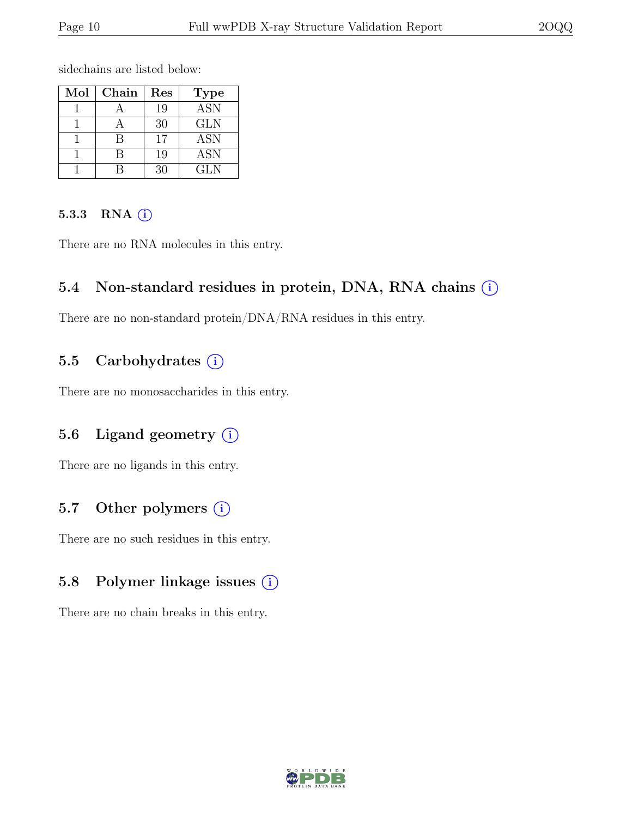sidechains are listed below:

| Mol | Chain | Res | <b>Type</b> |
|-----|-------|-----|-------------|
|     |       | 19  | <b>ASN</b>  |
|     |       | 30  | <b>GLN</b>  |
|     |       | 17  | ASN         |
|     |       | 19  | <b>ASN</b>  |
|     |       | 30  | <b>GLN</b>  |

#### 5.3.3 RNA  $(i)$

There are no RNA molecules in this entry.

#### 5.4 Non-standard residues in protein, DNA, RNA chains  $(i)$

There are no non-standard protein/DNA/RNA residues in this entry.

#### 5.5 Carbohydrates  $(i)$

There are no monosaccharides in this entry.

#### 5.6 Ligand geometry  $(i)$

There are no ligands in this entry.

#### 5.7 Other polymers  $(i)$

There are no such residues in this entry.

#### 5.8 Polymer linkage issues (i)

There are no chain breaks in this entry.

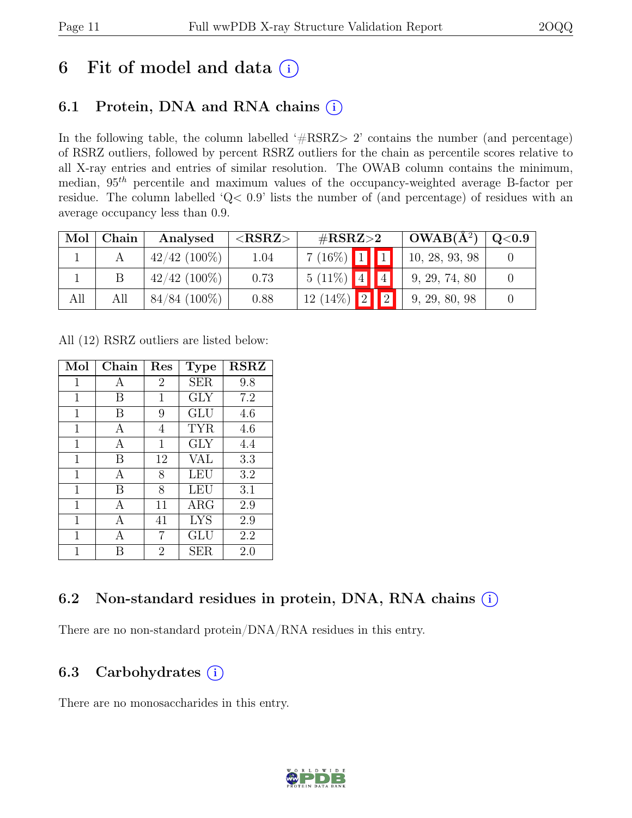## 6 Fit of model and data  $(i)$

### 6.1 Protein, DNA and RNA chains  $(i)$

In the following table, the column labelled '#RSRZ> 2' contains the number (and percentage) of RSRZ outliers, followed by percent RSRZ outliers for the chain as percentile scores relative to all X-ray entries and entries of similar resolution. The OWAB column contains the minimum, median,  $95<sup>th</sup>$  percentile and maximum values of the occupancy-weighted average B-factor per residue. The column labelled 'Q< 0.9' lists the number of (and percentage) of residues with an average occupancy less than 0.9.

| Mol | Chain | Analysed        | ${ <\bf RSRZ}\rm{ >}$ | $\#\text{RSRZ}\text{>2}$ |             | $OWAB(A^2)$    | Q <sub>0.9</sub> |
|-----|-------|-----------------|-----------------------|--------------------------|-------------|----------------|------------------|
|     |       | $42/42$ (100\%) | 1.04                  | $7(16\%)$ 1 1            |             | 10, 28, 93, 98 |                  |
|     |       | $42/42$ (100\%) | 0.73                  | $5(11\%)$ 4              | 4           | 9, 29, 74, 80  |                  |
| All | All   | 84/84 (100\%)   | 0.88                  | 2 <br>$12(14\%)$         | $\boxed{2}$ | 9, 29, 80, 98  |                  |

All (12) RSRZ outliers are listed below:

| Mol         | Chain | Res            | <b>Type</b> | <b>RSRZ</b> |
|-------------|-------|----------------|-------------|-------------|
| $\mathbf 1$ | А     | $\overline{2}$ | <b>SER</b>  | 9.8         |
| 1           | В     | 1              | GLY         | 7.2         |
| 1           | B     | 9              | GLU         | 4.6         |
| $\mathbf 1$ | А     | 4              | <b>TYR</b>  | 4.6         |
| $\mathbf 1$ | A     | 1              | GLY         | 4.4         |
| 1           | В     | 12             | VAL         | 3.3         |
| 1           | А     | 8              | LEU         | 3.2         |
| $\mathbf 1$ | B     | 8              | LEU         | 3.1         |
| $\mathbf 1$ | А     | 11             | $\rm{ARG}$  | 2.9         |
| $\mathbf 1$ | А     | 41             | <b>LYS</b>  | 2.9         |
| 1           | А     | 7              | GLU         | 2.2         |
| 1           | R     | $\overline{2}$ | <b>SER</b>  | 2.0         |

### 6.2 Non-standard residues in protein, DNA, RNA chains (i)

There are no non-standard protein/DNA/RNA residues in this entry.

### 6.3 Carbohydrates  $(i)$

There are no monosaccharides in this entry.